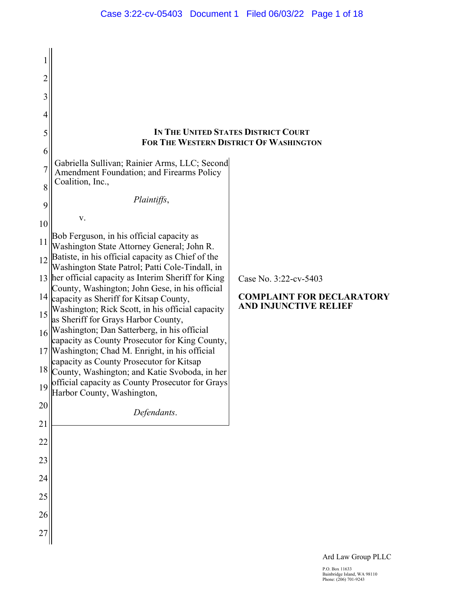| $\overline{c}$ |                                                                                                        |                                                           |
|----------------|--------------------------------------------------------------------------------------------------------|-----------------------------------------------------------|
| 3              |                                                                                                        |                                                           |
| 4              |                                                                                                        |                                                           |
| 5              |                                                                                                        | IN THE UNITED STATES DISTRICT COURT                       |
| 6              |                                                                                                        | FOR THE WESTERN DISTRICT OF WASHINGTON                    |
|                | Gabriella Sullivan; Rainier Arms, LLC; Second<br><b>Amendment Foundation; and Firearms Policy</b>      |                                                           |
| 8              | Coalition, Inc.,                                                                                       |                                                           |
| 9              | Plaintiffs,                                                                                            |                                                           |
| 10             | V.                                                                                                     |                                                           |
| 11             | Bob Ferguson, in his official capacity as<br>Washington State Attorney General; John R.                |                                                           |
| 12             | Batiste, in his official capacity as Chief of the<br>Washington State Patrol; Patti Cole-Tindall, in   |                                                           |
|                | 13 her official capacity as Interim Sheriff for King<br>County, Washington; John Gese, in his official | Case No. 3:22-cv-5403                                     |
| 14             | capacity as Sheriff for Kitsap County,<br>Washington; Rick Scott, in his official capacity             | <b>COMPLAINT FOR DECLARATORY</b><br>AND INJUNCTIVE RELIEF |
| 15             | as Sheriff for Grays Harbor County,                                                                    |                                                           |
|                | 16  Washington; Dan Satterberg, in his official<br>capacity as County Prosecutor for King County,      |                                                           |
|                | 17   Washington; Chad M. Enright, in his official<br>capacity as County Prosecutor for Kitsap          |                                                           |
| 18             | County, Washington; and Katie Svoboda, in her                                                          |                                                           |
|                | $19$ official capacity as County Prosecutor for Grays<br>Harbor County, Washington,                    |                                                           |
| 20             | Defendants.                                                                                            |                                                           |
| 21             |                                                                                                        |                                                           |
| 22             |                                                                                                        |                                                           |
| 23             |                                                                                                        |                                                           |
| 24             |                                                                                                        |                                                           |
| 25             |                                                                                                        |                                                           |
| 26             |                                                                                                        |                                                           |
| 27             |                                                                                                        |                                                           |

Ard Law Group PLLC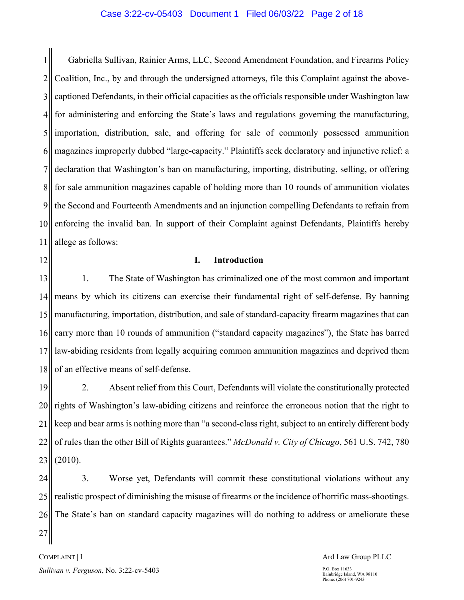#### Case 3:22-cv-05403 Document 1 Filed 06/03/22 Page 2 of 18

1 2 3 4 5 6 7 8 9 10 11 Gabriella Sullivan, Rainier Arms, LLC, Second Amendment Foundation, and Firearms Policy Coalition, Inc., by and through the undersigned attorneys, file this Complaint against the abovecaptioned Defendants, in their official capacities as the officials responsible under Washington law for administering and enforcing the State's laws and regulations governing the manufacturing, importation, distribution, sale, and offering for sale of commonly possessed ammunition magazines improperly dubbed "large-capacity." Plaintiffs seek declaratory and injunctive relief: a declaration that Washington's ban on manufacturing, importing, distributing, selling, or offering for sale ammunition magazines capable of holding more than 10 rounds of ammunition violates the Second and Fourteenth Amendments and an injunction compelling Defendants to refrain from enforcing the invalid ban. In support of their Complaint against Defendants, Plaintiffs hereby allege as follows:

12

27

#### **I. Introduction**

13 14 15 16 17 18 1. The State of Washington has criminalized one of the most common and important means by which its citizens can exercise their fundamental right of self-defense. By banning manufacturing, importation, distribution, and sale of standard-capacity firearm magazines that can carry more than 10 rounds of ammunition ("standard capacity magazines"), the State has barred law-abiding residents from legally acquiring common ammunition magazines and deprived them of an effective means of self-defense.

19 20 21 22 23 2. Absent relief from this Court, Defendants will violate the constitutionally protected rights of Washington's law-abiding citizens and reinforce the erroneous notion that the right to keep and bear arms is nothing more than "a second-class right, subject to an entirely different body of rules than the other Bill of Rights guarantees." *McDonald v. City of Chicago*, 561 U.S. 742, 780 (2010).

24 25 26 3. Worse yet, Defendants will commit these constitutional violations without any realistic prospect of diminishing the misuse of firearms or the incidence of horrific mass-shootings. The State's ban on standard capacity magazines will do nothing to address or ameliorate these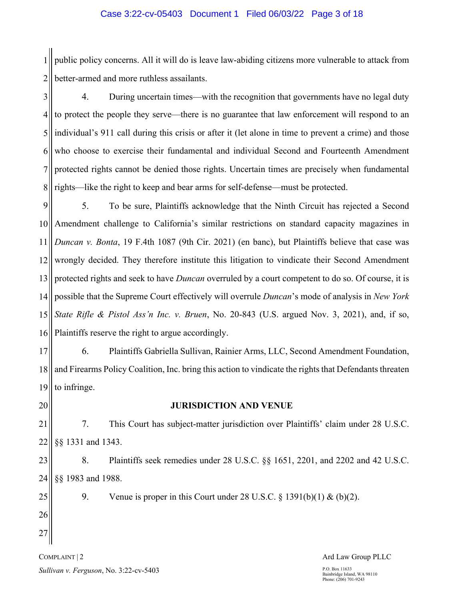1 2 public policy concerns. All it will do is leave law-abiding citizens more vulnerable to attack from better-armed and more ruthless assailants.

3 4 5 6 7 8 4. During uncertain times—with the recognition that governments have no legal duty to protect the people they serve—there is no guarantee that law enforcement will respond to an individual's 911 call during this crisis or after it (let alone in time to prevent a crime) and those who choose to exercise their fundamental and individual Second and Fourteenth Amendment protected rights cannot be denied those rights. Uncertain times are precisely when fundamental rights—like the right to keep and bear arms for self-defense—must be protected.

9 10 11 12 13 14 15 16 5. To be sure, Plaintiffs acknowledge that the Ninth Circuit has rejected a Second Amendment challenge to California's similar restrictions on standard capacity magazines in *Duncan v. Bonta*, 19 F.4th 1087 (9th Cir. 2021) (en banc), but Plaintiffs believe that case was wrongly decided. They therefore institute this litigation to vindicate their Second Amendment protected rights and seek to have *Duncan* overruled by a court competent to do so. Of course, it is possible that the Supreme Court effectively will overrule *Duncan*'s mode of analysis in *New York State Rifle & Pistol Ass'n Inc. v. Bruen*, No. 20-843 (U.S. argued Nov. 3, 2021), and, if so, Plaintiffs reserve the right to argue accordingly.

17 18 19 6. Plaintiffs Gabriella Sullivan, Rainier Arms, LLC, Second Amendment Foundation, and Firearms Policy Coalition, Inc. bring this action to vindicate the rights that Defendants threaten to infringe.

20

## **JURISDICTION AND VENUE**

21 22 7. This Court has subject-matter jurisdiction over Plaintiffs' claim under 28 U.S.C. §§ 1331 and 1343.

23 24 8. Plaintiffs seek remedies under 28 U.S.C. §§ 1651, 2201, and 2202 and 42 U.S.C. §§ 1983 and 1988.

9. Venue is proper in this Court under 28 U.S.C.  $\S$  1391(b)(1) & (b)(2).

25 26 27

# COMPLAINT | 2 *Sullivan v. Ferguson*, No. 3:22-cv-5403

#### Ard Law Group PLLC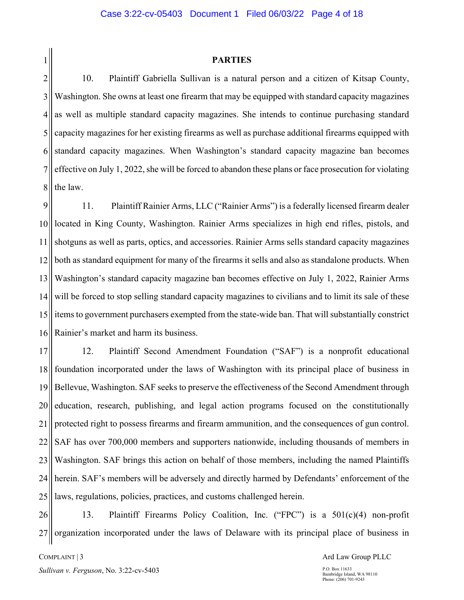1 2

#### **PARTIES**

3 4 5 6 7 8 10. Plaintiff Gabriella Sullivan is a natural person and a citizen of Kitsap County, Washington. She owns at least one firearm that may be equipped with standard capacity magazines as well as multiple standard capacity magazines. She intends to continue purchasing standard capacity magazines for her existing firearms as well as purchase additional firearms equipped with standard capacity magazines. When Washington's standard capacity magazine ban becomes effective on July 1, 2022, she will be forced to abandon these plans or face prosecution for violating the law.

9 10 11 12 13 14 15 16 11. Plaintiff Rainier Arms, LLC ("Rainier Arms") is a federally licensed firearm dealer located in King County, Washington. Rainier Arms specializes in high end rifles, pistols, and shotguns as well as parts, optics, and accessories. Rainier Arms sells standard capacity magazines both as standard equipment for many of the firearms it sells and also as standalone products. When Washington's standard capacity magazine ban becomes effective on July 1, 2022, Rainier Arms will be forced to stop selling standard capacity magazines to civilians and to limit its sale of these items to government purchasers exempted from the state-wide ban. That will substantially constrict Rainier's market and harm its business.

17 18 19 20 21 22 23 24 25 12. Plaintiff Second Amendment Foundation ("SAF") is a nonprofit educational foundation incorporated under the laws of Washington with its principal place of business in Bellevue, Washington. SAF seeks to preserve the effectiveness of the Second Amendment through education, research, publishing, and legal action programs focused on the constitutionally protected right to possess firearms and firearm ammunition, and the consequences of gun control. SAF has over 700,000 members and supporters nationwide, including thousands of members in Washington. SAF brings this action on behalf of those members, including the named Plaintiffs herein. SAF's members will be adversely and directly harmed by Defendants' enforcement of the laws, regulations, policies, practices, and customs challenged herein.

26 27 13. Plaintiff Firearms Policy Coalition, Inc. ("FPC") is a 501(c)(4) non-profit organization incorporated under the laws of Delaware with its principal place of business in

COMPLAINT | 3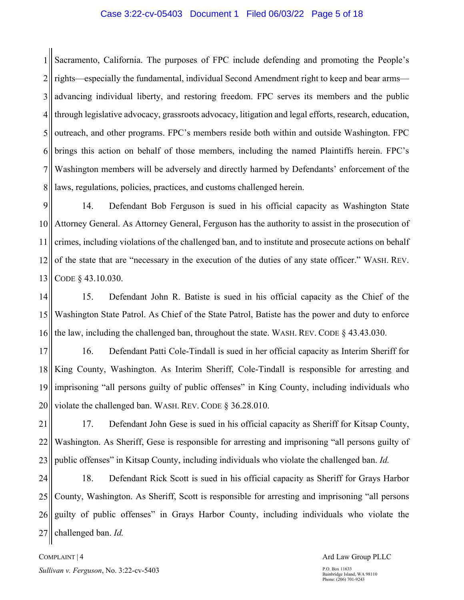#### Case 3:22-cv-05403 Document 1 Filed 06/03/22 Page 5 of 18

1 2 3 4 5 6 7 8 Sacramento, California. The purposes of FPC include defending and promoting the People's rights—especially the fundamental, individual Second Amendment right to keep and bear arms advancing individual liberty, and restoring freedom. FPC serves its members and the public through legislative advocacy, grassroots advocacy, litigation and legal efforts, research, education, outreach, and other programs. FPC's members reside both within and outside Washington. FPC brings this action on behalf of those members, including the named Plaintiffs herein. FPC's Washington members will be adversely and directly harmed by Defendants' enforcement of the laws, regulations, policies, practices, and customs challenged herein.

9 10 11 12 13 14. Defendant Bob Ferguson is sued in his official capacity as Washington State Attorney General. As Attorney General, Ferguson has the authority to assist in the prosecution of crimes, including violations of the challenged ban, and to institute and prosecute actions on behalf of the state that are "necessary in the execution of the duties of any state officer." WASH. REV. CODE § 43.10.030.

14 15 16 15. Defendant John R. Batiste is sued in his official capacity as the Chief of the Washington State Patrol. As Chief of the State Patrol, Batiste has the power and duty to enforce the law, including the challenged ban, throughout the state. WASH. REV. CODE § 43.43.030.

17 18 19 20 16. Defendant Patti Cole-Tindall is sued in her official capacity as Interim Sheriff for King County, Washington. As Interim Sheriff, Cole-Tindall is responsible for arresting and imprisoning "all persons guilty of public offenses" in King County, including individuals who violate the challenged ban. WASH. REV. CODE § 36.28.010.

21 22 23 17. Defendant John Gese is sued in his official capacity as Sheriff for Kitsap County, Washington. As Sheriff, Gese is responsible for arresting and imprisoning "all persons guilty of public offenses" in Kitsap County, including individuals who violate the challenged ban. *Id.*

24 25 26 27 18. Defendant Rick Scott is sued in his official capacity as Sheriff for Grays Harbor County, Washington. As Sheriff, Scott is responsible for arresting and imprisoning "all persons guilty of public offenses" in Grays Harbor County, including individuals who violate the challenged ban. *Id.*

COMPLAINT | 4 *Sullivan v. Ferguson*, No. 3:22-cv-5403

#### Ard Law Group PLLC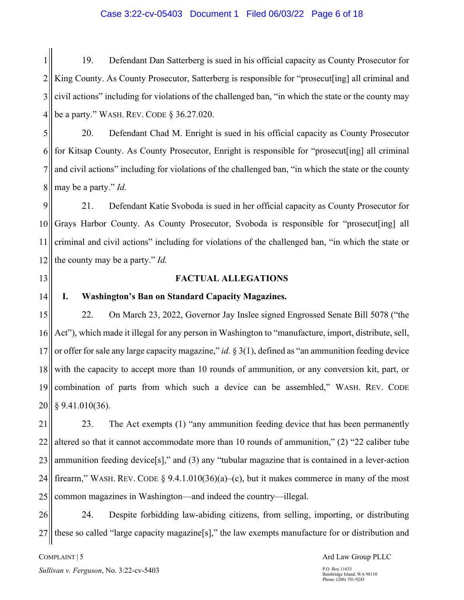#### Case 3:22-cv-05403 Document 1 Filed 06/03/22 Page 6 of 18

1 2 3 4 19. Defendant Dan Satterberg is sued in his official capacity as County Prosecutor for King County. As County Prosecutor, Satterberg is responsible for "prosecut[ing] all criminal and civil actions" including for violations of the challenged ban, "in which the state or the county may be a party." WASH. REV. CODE § 36.27.020.

5 6 7 8 20. Defendant Chad M. Enright is sued in his official capacity as County Prosecutor for Kitsap County. As County Prosecutor, Enright is responsible for "prosecut[ing] all criminal and civil actions" including for violations of the challenged ban, "in which the state or the county may be a party." *Id.*

9 10 11 12 21. Defendant Katie Svoboda is sued in her official capacity as County Prosecutor for Grays Harbor County. As County Prosecutor, Svoboda is responsible for "prosecut[ing] all criminal and civil actions" including for violations of the challenged ban, "in which the state or the county may be a party." *Id.*

13

14

## **FACTUAL ALLEGATIONS**

#### **I. Washington's Ban on Standard Capacity Magazines.**

15 16 17 18 19 20 22. On March 23, 2022, Governor Jay Inslee signed Engrossed Senate Bill 5078 ("the Act"), which made it illegal for any person in Washington to "manufacture, import, distribute, sell, or offer for sale any large capacity magazine," *id.* § 3(1), defined as "an ammunition feeding device with the capacity to accept more than 10 rounds of ammunition, or any conversion kit, part, or combination of parts from which such a device can be assembled," WASH. REV. CODE § 9.41.010(36).

21 22 23 24 25 23. The Act exempts (1) "any ammunition feeding device that has been permanently altered so that it cannot accommodate more than 10 rounds of ammunition," (2) "22 caliber tube ammunition feeding device[s]," and (3) any "tubular magazine that is contained in a lever-action firearm," WASH. REV. CODE § 9.4.1.010(36)(a)–(c), but it makes commerce in many of the most common magazines in Washington—and indeed the country—illegal.

26 27 24. Despite forbidding law-abiding citizens, from selling, importing, or distributing these so called "large capacity magazine[s]," the law exempts manufacture for or distribution and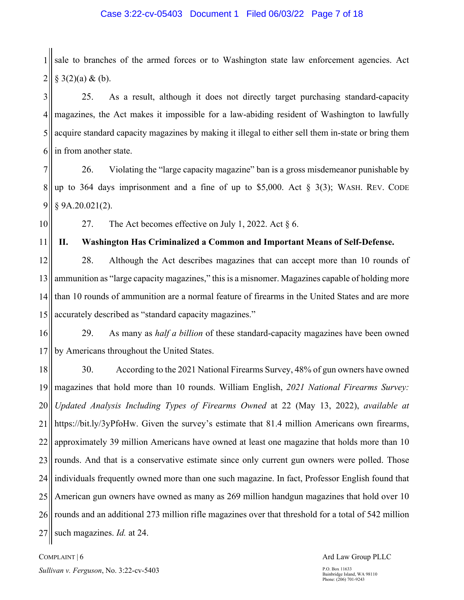1 2 sale to branches of the armed forces or to Washington state law enforcement agencies. Act  $§$  3(2)(a) & (b).

3 4 5 6 25. As a result, although it does not directly target purchasing standard-capacity magazines, the Act makes it impossible for a law-abiding resident of Washington to lawfully acquire standard capacity magazines by making it illegal to either sell them in-state or bring them in from another state.

7 8 9 26. Violating the "large capacity magazine" ban is a gross misdemeanor punishable by up to 364 days imprisonment and a fine of up to \$5,000. Act  $\S$  3(3); WASH. REV. CODE § 9A.20.021(2).

10

11

27. The Act becomes effective on July 1, 2022. Act § 6.

**II. Washington Has Criminalized a Common and Important Means of Self-Defense.** 

12 13 14 15 28. Although the Act describes magazines that can accept more than 10 rounds of ammunition as "large capacity magazines," this is a misnomer. Magazines capable of holding more than 10 rounds of ammunition are a normal feature of firearms in the United States and are more accurately described as "standard capacity magazines."

16 17 29. As many as *half a billion* of these standard-capacity magazines have been owned by Americans throughout the United States.

18 19 20 21 22 23 24 25 26 27 30. According to the 2021 National Firearms Survey, 48% of gun owners have owned magazines that hold more than 10 rounds. William English, *2021 National Firearms Survey: Updated Analysis Including Types of Firearms Owned* at 22 (May 13, 2022), *available at* https://bit.ly/3yPfoHw. Given the survey's estimate that 81.4 million Americans own firearms, approximately 39 million Americans have owned at least one magazine that holds more than 10 rounds. And that is a conservative estimate since only current gun owners were polled. Those individuals frequently owned more than one such magazine. In fact, Professor English found that American gun owners have owned as many as 269 million handgun magazines that hold over 10 rounds and an additional 273 million rifle magazines over that threshold for a total of 542 million such magazines. *Id.* at 24.

COMPLAINT | 6

Ard Law Group PLLC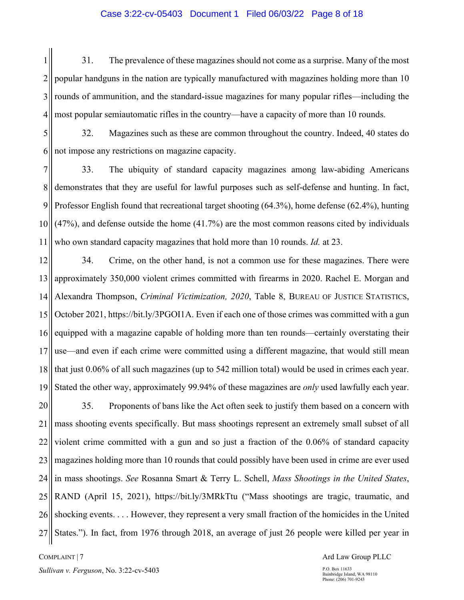#### Case 3:22-cv-05403 Document 1 Filed 06/03/22 Page 8 of 18

1 2 3 4 31. The prevalence of these magazines should not come as a surprise. Many of the most popular handguns in the nation are typically manufactured with magazines holding more than 10 rounds of ammunition, and the standard-issue magazines for many popular rifles—including the most popular semiautomatic rifles in the country—have a capacity of more than 10 rounds.

5 6 32. Magazines such as these are common throughout the country. Indeed, 40 states do not impose any restrictions on magazine capacity.

7 8 9 10 11 33. The ubiquity of standard capacity magazines among law-abiding Americans demonstrates that they are useful for lawful purposes such as self-defense and hunting. In fact, Professor English found that recreational target shooting (64.3%), home defense (62.4%), hunting (47%), and defense outside the home (41.7%) are the most common reasons cited by individuals who own standard capacity magazines that hold more than 10 rounds. *Id.* at 23.

12 13 14 15 16 17 18 19 34. Crime, on the other hand, is not a common use for these magazines. There were approximately 350,000 violent crimes committed with firearms in 2020. Rachel E. Morgan and Alexandra Thompson, *Criminal Victimization, 2020*, Table 8, BUREAU OF JUSTICE STATISTICS, October 2021, https://bit.ly/3PGOI1A. Even if each one of those crimes was committed with a gun equipped with a magazine capable of holding more than ten rounds—certainly overstating their use—and even if each crime were committed using a different magazine, that would still mean that just 0.06% of all such magazines (up to 542 million total) would be used in crimes each year. Stated the other way, approximately 99.94% of these magazines are *only* used lawfully each year.

20 21 22 23 24 25 26 27 35. Proponents of bans like the Act often seek to justify them based on a concern with mass shooting events specifically. But mass shootings represent an extremely small subset of all violent crime committed with a gun and so just a fraction of the 0.06% of standard capacity magazines holding more than 10 rounds that could possibly have been used in crime are ever used in mass shootings. *See* Rosanna Smart & Terry L. Schell, *Mass Shootings in the United States*, RAND (April 15, 2021), https://bit.ly/3MRkTtu ("Mass shootings are tragic, traumatic, and shocking events. . . . However, they represent a very small fraction of the homicides in the United States."). In fact, from 1976 through 2018, an average of just 26 people were killed per year in

COMPLAINT | 7 *Sullivan v. Ferguson*, No. 3:22-cv-5403 Ard Law Group PLLC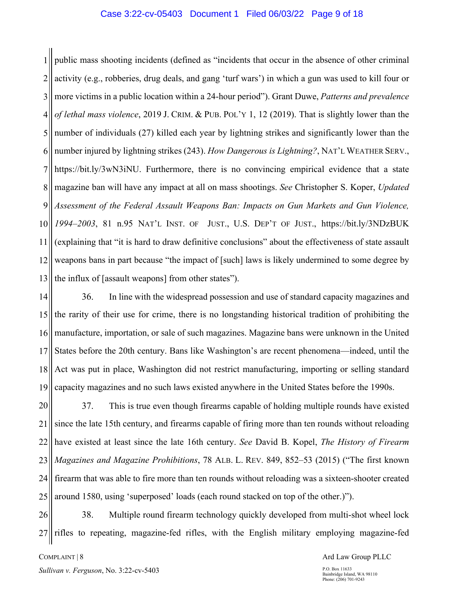#### Case 3:22-cv-05403 Document 1 Filed 06/03/22 Page 9 of 18

1 2 3 4 5 6 7 8 9 10 11 12 13 public mass shooting incidents (defined as "incidents that occur in the absence of other criminal activity (e.g., robberies, drug deals, and gang 'turf wars') in which a gun was used to kill four or more victims in a public location within a 24-hour period"). Grant Duwe, *Patterns and prevalence of lethal mass violence*, 2019 J. CRIM. & PUB. POL'Y 1, 12 (2019). That is slightly lower than the number of individuals (27) killed each year by lightning strikes and significantly lower than the number injured by lightning strikes (243). *How Dangerous is Lightning?*, NAT'L WEATHER SERV., https://bit.ly/3wN3iNU. Furthermore, there is no convincing empirical evidence that a state magazine ban will have any impact at all on mass shootings. *See* Christopher S. Koper, *Updated Assessment of the Federal Assault Weapons Ban: Impacts on Gun Markets and Gun Violence, 1994–2003*, 81 n.95 NAT'L INST. OF JUST., U.S. DEP'T OF JUST., https://bit.ly/3NDzBUK (explaining that "it is hard to draw definitive conclusions" about the effectiveness of state assault weapons bans in part because "the impact of [such] laws is likely undermined to some degree by the influx of [assault weapons] from other states").

14 15 16 17 18 19 36. In line with the widespread possession and use of standard capacity magazines and the rarity of their use for crime, there is no longstanding historical tradition of prohibiting the manufacture, importation, or sale of such magazines. Magazine bans were unknown in the United States before the 20th century. Bans like Washington's are recent phenomena—indeed, until the Act was put in place, Washington did not restrict manufacturing, importing or selling standard capacity magazines and no such laws existed anywhere in the United States before the 1990s.

20 21 22 23 24 25 37. This is true even though firearms capable of holding multiple rounds have existed since the late 15th century, and firearms capable of firing more than ten rounds without reloading have existed at least since the late 16th century. *See* David B. Kopel, *The History of Firearm Magazines and Magazine Prohibitions*, 78 ALB. L. REV. 849, 852–53 (2015) ("The first known firearm that was able to fire more than ten rounds without reloading was a sixteen-shooter created around 1580, using 'superposed' loads (each round stacked on top of the other.)").

26 27 38. Multiple round firearm technology quickly developed from multi-shot wheel lock rifles to repeating, magazine-fed rifles, with the English military employing magazine-fed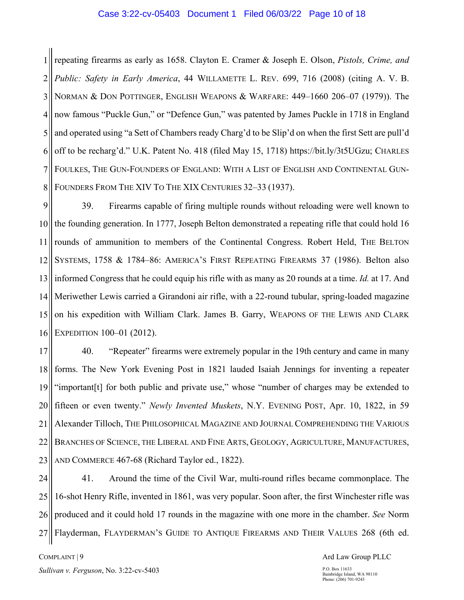#### Case 3:22-cv-05403 Document 1 Filed 06/03/22 Page 10 of 18

1 2 3 4 5 6 7 8 repeating firearms as early as 1658. Clayton E. Cramer & Joseph E. Olson, *Pistols, Crime, and Public: Safety in Early America*, 44 WILLAMETTE L. REV. 699, 716 (2008) (citing A. V. B. NORMAN & DON POTTINGER, ENGLISH WEAPONS & WARFARE: 449–1660 206–07 (1979)). The now famous "Puckle Gun," or "Defence Gun," was patented by James Puckle in 1718 in England and operated using "a Sett of Chambers ready Charg'd to be Slip'd on when the first Sett are pull'd off to be recharg'd." U.K. Patent No. 418 (filed May 15, 1718) https://bit.ly/3t5UGzu; CHARLES FOULKES, THE GUN-FOUNDERS OF ENGLAND: WITH A LIST OF ENGLISH AND CONTINENTAL GUN-FOUNDERS FROM THE XIV TO THE XIX CENTURIES 32–33 (1937).

9 10 11 12 13 14 15 16 39. Firearms capable of firing multiple rounds without reloading were well known to the founding generation. In 1777, Joseph Belton demonstrated a repeating rifle that could hold 16 rounds of ammunition to members of the Continental Congress. Robert Held, THE BELTON SYSTEMS, 1758 & 1784–86: AMERICA'S FIRST REPEATING FIREARMS 37 (1986). Belton also informed Congress that he could equip his rifle with as many as 20 rounds at a time. *Id.* at 17. And Meriwether Lewis carried a Girandoni air rifle, with a 22-round tubular, spring-loaded magazine on his expedition with William Clark. James B. Garry, WEAPONS OF THE LEWIS AND CLARK EXPEDITION 100–01 (2012).

17 18 19 20 21 22 23 40. "Repeater" firearms were extremely popular in the 19th century and came in many forms. The New York Evening Post in 1821 lauded Isaiah Jennings for inventing a repeater "important[t] for both public and private use," whose "number of charges may be extended to fifteen or even twenty." *Newly Invented Muskets*, N.Y. EVENING POST, Apr. 10, 1822, in 59 Alexander Tilloch, THE PHILOSOPHICAL MAGAZINE AND JOURNAL COMPREHENDING THE VARIOUS BRANCHES OF SCIENCE, THE LIBERAL AND FINE ARTS, GEOLOGY, AGRICULTURE, MANUFACTURES, AND COMMERCE 467-68 (Richard Taylor ed., 1822).

24 25 26 27 41. Around the time of the Civil War, multi-round rifles became commonplace. The 16-shot Henry Rifle, invented in 1861, was very popular. Soon after, the first Winchester rifle was produced and it could hold 17 rounds in the magazine with one more in the chamber. *See* Norm Flayderman, FLAYDERMAN'S GUIDE TO ANTIQUE FIREARMS AND THEIR VALUES 268 (6th ed.

COMPLAINT | 9 *Sullivan v. Ferguson*, No. 3:22-cv-5403 Ard Law Group PLLC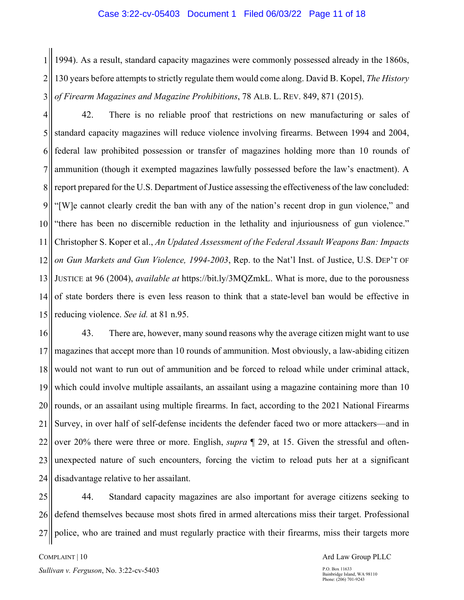#### Case 3:22-cv-05403 Document 1 Filed 06/03/22 Page 11 of 18

1 2 3 1994). As a result, standard capacity magazines were commonly possessed already in the 1860s, 130 years before attempts to strictly regulate them would come along. David B. Kopel, *The History of Firearm Magazines and Magazine Prohibitions*, 78 ALB. L. REV. 849, 871 (2015).

4 5 6 7 8 9 10 11 12 13 14 15 42. There is no reliable proof that restrictions on new manufacturing or sales of standard capacity magazines will reduce violence involving firearms. Between 1994 and 2004, federal law prohibited possession or transfer of magazines holding more than 10 rounds of ammunition (though it exempted magazines lawfully possessed before the law's enactment). A report prepared for the U.S. Department of Justice assessing the effectiveness of the law concluded: "[W]e cannot clearly credit the ban with any of the nation's recent drop in gun violence," and "there has been no discernible reduction in the lethality and injuriousness of gun violence." Christopher S. Koper et al., *An Updated Assessment of the Federal Assault Weapons Ban: Impacts on Gun Markets and Gun Violence, 1994-2003*, Rep. to the Nat'l Inst. of Justice, U.S. DEP'T OF JUSTICE at 96 (2004), *available at* https://bit.ly/3MQZmkL. What is more, due to the porousness of state borders there is even less reason to think that a state-level ban would be effective in reducing violence. *See id.* at 81 n.95.

16 17 18 19 20 21 22 23 24 43. There are, however, many sound reasons why the average citizen might want to use magazines that accept more than 10 rounds of ammunition. Most obviously, a law-abiding citizen would not want to run out of ammunition and be forced to reload while under criminal attack, which could involve multiple assailants, an assailant using a magazine containing more than 10 rounds, or an assailant using multiple firearms. In fact, according to the 2021 National Firearms Survey, in over half of self-defense incidents the defender faced two or more attackers—and in over 20% there were three or more. English, *supra* ¶ 29, at 15. Given the stressful and oftenunexpected nature of such encounters, forcing the victim to reload puts her at a significant disadvantage relative to her assailant.

25 26 27 44. Standard capacity magazines are also important for average citizens seeking to defend themselves because most shots fired in armed altercations miss their target. Professional police, who are trained and must regularly practice with their firearms, miss their targets more

Ard Law Group PLLC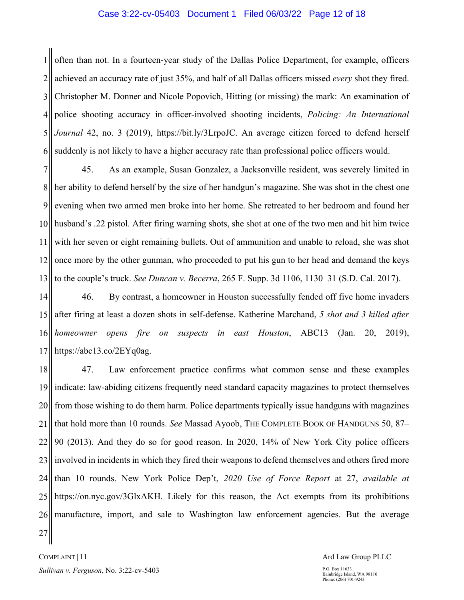#### Case 3:22-cv-05403 Document 1 Filed 06/03/22 Page 12 of 18

1 2 3 4 5 6 often than not. In a fourteen-year study of the Dallas Police Department, for example, officers achieved an accuracy rate of just 35%, and half of all Dallas officers missed *every* shot they fired. Christopher M. Donner and Nicole Popovich, Hitting (or missing) the mark: An examination of police shooting accuracy in officer-involved shooting incidents, *Policing: An International Journal* 42, no. 3 (2019), https://bit.ly/3LrpoJC. An average citizen forced to defend herself suddenly is not likely to have a higher accuracy rate than professional police officers would.

7 8 9 10 11 12 13 45. As an example, Susan Gonzalez, a Jacksonville resident, was severely limited in her ability to defend herself by the size of her handgun's magazine. She was shot in the chest one evening when two armed men broke into her home. She retreated to her bedroom and found her husband's .22 pistol. After firing warning shots, she shot at one of the two men and hit him twice with her seven or eight remaining bullets. Out of ammunition and unable to reload, she was shot once more by the other gunman, who proceeded to put his gun to her head and demand the keys to the couple's truck. *See Duncan v. Becerra*, 265 F. Supp. 3d 1106, 1130–31 (S.D. Cal. 2017).

14 15 16 17 46. By contrast, a homeowner in Houston successfully fended off five home invaders after firing at least a dozen shots in self-defense. Katherine Marchand, *5 shot and 3 killed after homeowner opens fire on suspects in east Houston*, ABC13 (Jan. 20, 2019), https://abc13.co/2EYq0ag.

18 19 20 21 22 23 24 25 26 47. Law enforcement practice confirms what common sense and these examples indicate: law-abiding citizens frequently need standard capacity magazines to protect themselves from those wishing to do them harm. Police departments typically issue handguns with magazines that hold more than 10 rounds. *See* Massad Ayoob, THE COMPLETE BOOK OF HANDGUNS 50, 87– 90 (2013). And they do so for good reason. In 2020, 14% of New York City police officers involved in incidents in which they fired their weapons to defend themselves and others fired more than 10 rounds. New York Police Dep't, *2020 Use of Force Report* at 27, *available at*  https://on.nyc.gov/3GlxAKH. Likely for this reason, the Act exempts from its prohibitions manufacture, import, and sale to Washington law enforcement agencies. But the average

27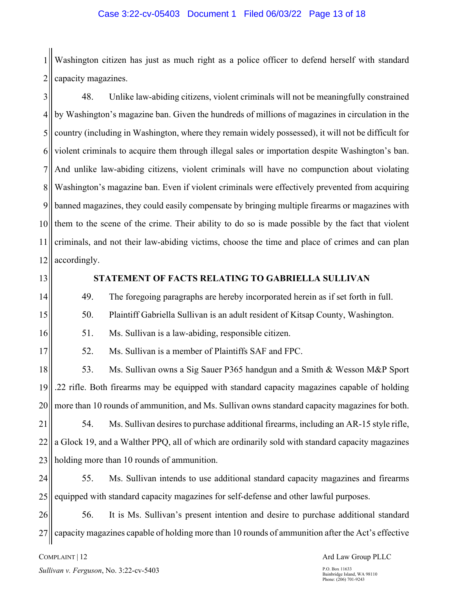1 2 Washington citizen has just as much right as a police officer to defend herself with standard capacity magazines.

3 4 5 6 7 8 9 10 11 12 48. Unlike law-abiding citizens, violent criminals will not be meaningfully constrained by Washington's magazine ban. Given the hundreds of millions of magazines in circulation in the country (including in Washington, where they remain widely possessed), it will not be difficult for violent criminals to acquire them through illegal sales or importation despite Washington's ban. And unlike law-abiding citizens, violent criminals will have no compunction about violating Washington's magazine ban. Even if violent criminals were effectively prevented from acquiring banned magazines, they could easily compensate by bringing multiple firearms or magazines with them to the scene of the crime. Their ability to do so is made possible by the fact that violent criminals, and not their law-abiding victims, choose the time and place of crimes and can plan accordingly.

13

14

15

16

### **STATEMENT OF FACTS RELATING TO GABRIELLA SULLIVAN**

49. The foregoing paragraphs are hereby incorporated herein as if set forth in full.

50. Plaintiff Gabriella Sullivan is an adult resident of Kitsap County, Washington.

51. Ms. Sullivan is a law-abiding, responsible citizen.

17

52. Ms. Sullivan is a member of Plaintiffs SAF and FPC.

18 19 20 53. Ms. Sullivan owns a Sig Sauer P365 handgun and a Smith & Wesson M&P Sport .22 rifle. Both firearms may be equipped with standard capacity magazines capable of holding more than 10 rounds of ammunition, and Ms. Sullivan owns standard capacity magazines for both.

21 22 23 54. Ms. Sullivan desires to purchase additional firearms, including an AR-15 style rifle, a Glock 19, and a Walther PPQ, all of which are ordinarily sold with standard capacity magazines holding more than 10 rounds of ammunition.

24 25 55. Ms. Sullivan intends to use additional standard capacity magazines and firearms equipped with standard capacity magazines for self-defense and other lawful purposes.

26 27 56. It is Ms. Sullivan's present intention and desire to purchase additional standard capacity magazines capable of holding more than 10 rounds of ammunition after the Act's effective

COMPLAINT | 12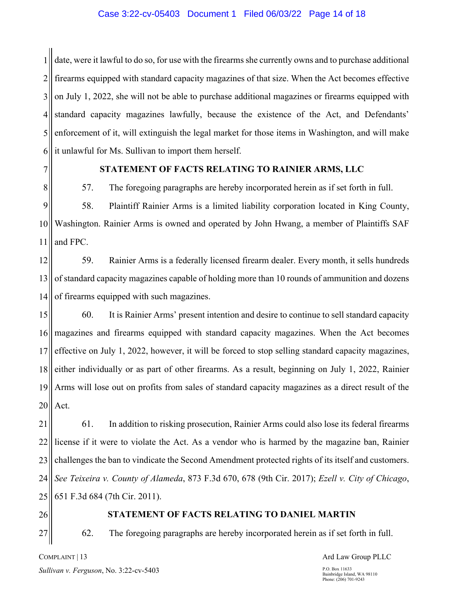#### Case 3:22-cv-05403 Document 1 Filed 06/03/22 Page 14 of 18

1 2 3 4 5 6 date, were it lawful to do so, for use with the firearms she currently owns and to purchase additional firearms equipped with standard capacity magazines of that size. When the Act becomes effective on July 1, 2022, she will not be able to purchase additional magazines or firearms equipped with standard capacity magazines lawfully, because the existence of the Act, and Defendants' enforcement of it, will extinguish the legal market for those items in Washington, and will make it unlawful for Ms. Sullivan to import them herself.

7 8

#### **STATEMENT OF FACTS RELATING TO RAINIER ARMS, LLC**

57. The foregoing paragraphs are hereby incorporated herein as if set forth in full.

9 10 11 58. Plaintiff Rainier Arms is a limited liability corporation located in King County, Washington. Rainier Arms is owned and operated by John Hwang, a member of Plaintiffs SAF and FPC.

12 13 14 59. Rainier Arms is a federally licensed firearm dealer. Every month, it sells hundreds of standard capacity magazines capable of holding more than 10 rounds of ammunition and dozens of firearms equipped with such magazines.

15 16 17 18 19 20 60. It is Rainier Arms' present intention and desire to continue to sell standard capacity magazines and firearms equipped with standard capacity magazines. When the Act becomes effective on July 1, 2022, however, it will be forced to stop selling standard capacity magazines, either individually or as part of other firearms. As a result, beginning on July 1, 2022, Rainier Arms will lose out on profits from sales of standard capacity magazines as a direct result of the Act.

21 22 23 24 25 61. In addition to risking prosecution, Rainier Arms could also lose its federal firearms license if it were to violate the Act. As a vendor who is harmed by the magazine ban, Rainier challenges the ban to vindicate the Second Amendment protected rights of its itself and customers. *See Teixeira v. County of Alameda*, 873 F.3d 670, 678 (9th Cir. 2017); *Ezell v. City of Chicago*, 651 F.3d 684 (7th Cir. 2011).

26

27

#### **STATEMENT OF FACTS RELATING TO DANIEL MARTIN**

62. The foregoing paragraphs are hereby incorporated herein as if set forth in full.

#### COMPLAINT | 13

Ard Law Group PLLC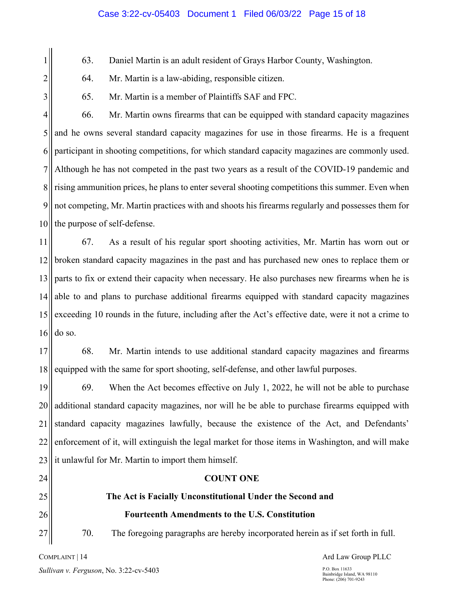1

2

3

63. Daniel Martin is an adult resident of Grays Harbor County, Washington.

- 64. Mr. Martin is a law-abiding, responsible citizen.
- 65. Mr. Martin is a member of Plaintiffs SAF and FPC.

4 5 6 7 8 9 10 66. Mr. Martin owns firearms that can be equipped with standard capacity magazines and he owns several standard capacity magazines for use in those firearms. He is a frequent participant in shooting competitions, for which standard capacity magazines are commonly used. Although he has not competed in the past two years as a result of the COVID-19 pandemic and rising ammunition prices, he plans to enter several shooting competitions this summer. Even when not competing, Mr. Martin practices with and shoots his firearms regularly and possesses them for the purpose of self-defense.

11 12 13 14 15 16 67. As a result of his regular sport shooting activities, Mr. Martin has worn out or broken standard capacity magazines in the past and has purchased new ones to replace them or parts to fix or extend their capacity when necessary. He also purchases new firearms when he is able to and plans to purchase additional firearms equipped with standard capacity magazines exceeding 10 rounds in the future, including after the Act's effective date, were it not a crime to do so.

17 18 68. Mr. Martin intends to use additional standard capacity magazines and firearms equipped with the same for sport shooting, self-defense, and other lawful purposes.

19 20 21 22 23 69. When the Act becomes effective on July 1, 2022, he will not be able to purchase additional standard capacity magazines, nor will he be able to purchase firearms equipped with standard capacity magazines lawfully, because the existence of the Act, and Defendants' enforcement of it, will extinguish the legal market for those items in Washington, and will make it unlawful for Mr. Martin to import them himself.

# 24 25

26

27

70. The foregoing paragraphs are hereby incorporated herein as if set forth in full.

**COUNT ONE** 

**The Act is Facially Unconstitutional Under the Second and** 

**Fourteenth Amendments to the U.S. Constitution** 

COMPLAINT | 14 *Sullivan v. Ferguson*, No. 3:22-cv-5403 Ard Law Group PLLC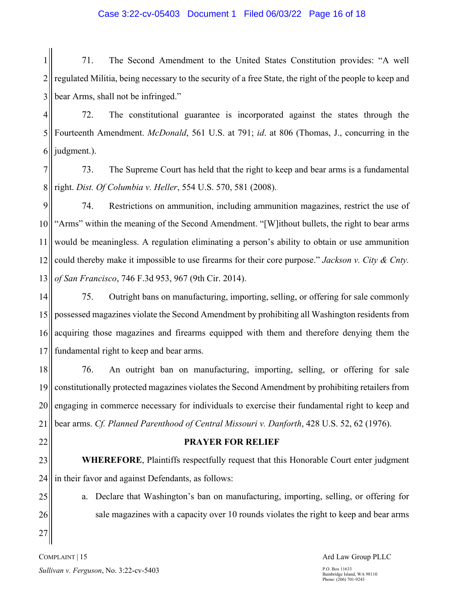#### Case 3:22-cv-05403 Document 1 Filed 06/03/22 Page 16 of 18

1 2 3 71. The Second Amendment to the United States Constitution provides: "A well regulated Militia, being necessary to the security of a free State, the right of the people to keep and bear Arms, shall not be infringed."

4 5 6 72. The constitutional guarantee is incorporated against the states through the Fourteenth Amendment. *McDonald*, 561 U.S. at 791; *id*. at 806 (Thomas, J., concurring in the judgment.).

7 8 73. The Supreme Court has held that the right to keep and bear arms is a fundamental right. *Dist. Of Columbia v. Heller*, 554 U.S. 570, 581 (2008).

9 10 11 12 13 74. Restrictions on ammunition, including ammunition magazines, restrict the use of "Arms" within the meaning of the Second Amendment. "[W]ithout bullets, the right to bear arms would be meaningless. A regulation eliminating a person's ability to obtain or use ammunition could thereby make it impossible to use firearms for their core purpose." *Jackson v. City & Cnty. of San Francisco*, 746 F.3d 953, 967 (9th Cir. 2014).

14 15 16 17 75. Outright bans on manufacturing, importing, selling, or offering for sale commonly possessed magazines violate the Second Amendment by prohibiting all Washington residents from acquiring those magazines and firearms equipped with them and therefore denying them the fundamental right to keep and bear arms.

18 19 20 21 76. An outright ban on manufacturing, importing, selling, or offering for sale constitutionally protected magazines violates the Second Amendment by prohibiting retailers from engaging in commerce necessary for individuals to exercise their fundamental right to keep and bear arms. *Cf. Planned Parenthood of Central Missouri v. Danforth*, 428 U.S. 52, 62 (1976).

22

#### **PRAYER FOR RELIEF**

a. Declare that Washington's ban on manufacturing, importing, selling, or offering for

sale magazines with a capacity over 10 rounds violates the right to keep and bear arms

23 24 **WHEREFORE**, Plaintiffs respectfully request that this Honorable Court enter judgment in their favor and against Defendants, as follows:

25 26 27

COMPLAINT | 15 *Sullivan v. Ferguson*, No. 3:22-cv-5403 Ard Law Group PLLC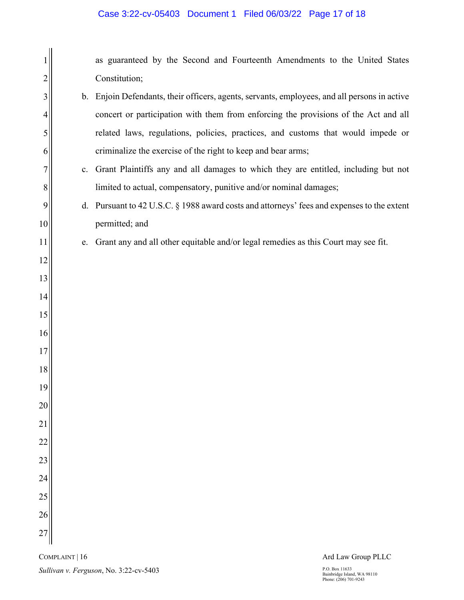# Case 3:22-cv-05403 Document 1 Filed 06/03/22 Page 17 of 18

|          |    | as guaranteed by the Second and Fourteenth Amendments to the United States                   |
|----------|----|----------------------------------------------------------------------------------------------|
| 2        |    | Constitution;                                                                                |
| 3        |    | b. Enjoin Defendants, their officers, agents, servants, employees, and all persons in active |
| 4        |    | concert or participation with them from enforcing the provisions of the Act and all          |
| 5        |    | related laws, regulations, policies, practices, and customs that would impede or             |
| 6        |    | criminalize the exercise of the right to keep and bear arms;                                 |
| 7        | c. | Grant Plaintiffs any and all damages to which they are entitled, including but not           |
| 8        |    | limited to actual, compensatory, punitive and/or nominal damages;                            |
| 9        |    | d. Pursuant to 42 U.S.C. § 1988 award costs and attorneys' fees and expenses to the extent   |
| 10       |    | permitted; and                                                                               |
| 11       | e. | Grant any and all other equitable and/or legal remedies as this Court may see fit.           |
| 12       |    |                                                                                              |
| 13       |    |                                                                                              |
| 14       |    |                                                                                              |
| 15       |    |                                                                                              |
| 16       |    |                                                                                              |
| 17       |    |                                                                                              |
| 18       |    |                                                                                              |
| 19       |    |                                                                                              |
| 20       |    |                                                                                              |
| 21       |    |                                                                                              |
| 22<br>23 |    |                                                                                              |
| 24       |    |                                                                                              |
| 25       |    |                                                                                              |
| 26       |    |                                                                                              |
| 27       |    |                                                                                              |
|          |    |                                                                                              |